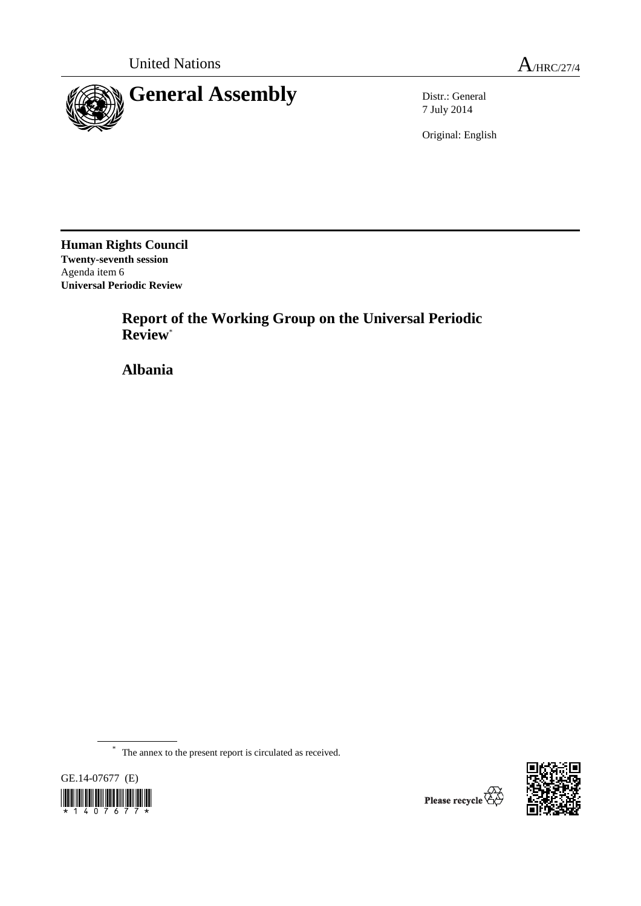

7 July 2014

Original: English

**Human Rights Council Twenty-seventh session**  Agenda item 6 **Universal Periodic Review**

> **Report of the Working Group on the Universal Periodic Review**\*

 **Albania** 

\* The annex to the present report is circulated as received.



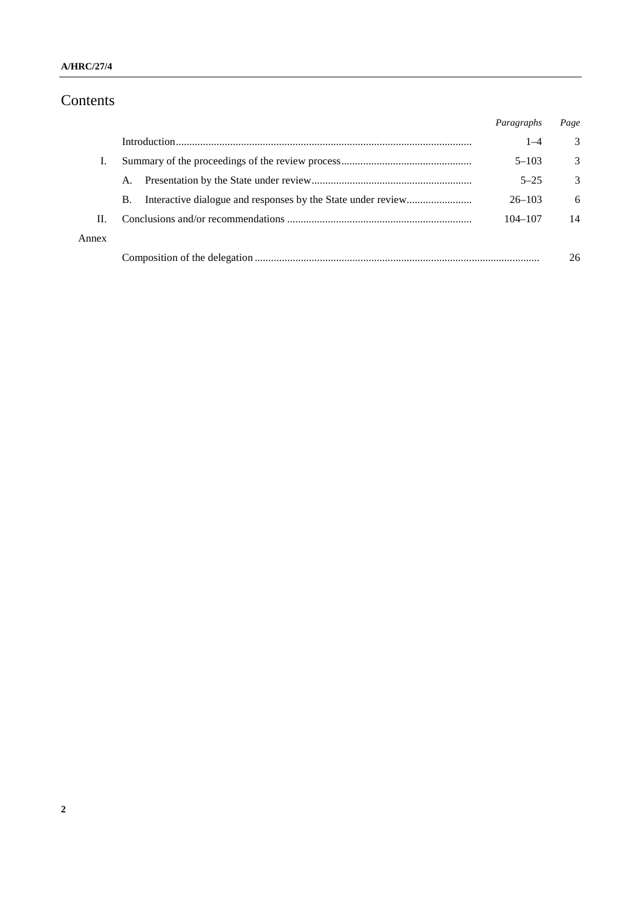# Contents

|       |    | Paragraphs  | Page |
|-------|----|-------------|------|
|       |    | $1 - 4$     | 3    |
| Ι.    |    | $5 - 103$   | 3    |
|       | A. | $5 - 25$    | 3    |
|       | В. | $26 - 103$  | 6    |
| H.    |    | $104 - 107$ | 14   |
| Annex |    |             |      |
|       |    |             | 26   |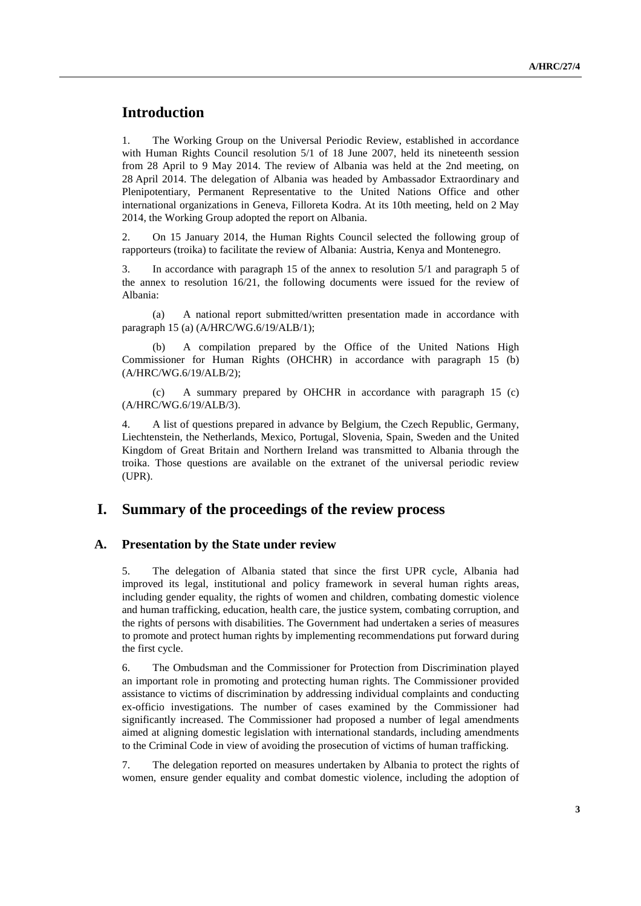## **Introduction**

1. The Working Group on the Universal Periodic Review, established in accordance with Human Rights Council resolution 5/1 of 18 June 2007, held its nineteenth session from 28 April to 9 May 2014. The review of Albania was held at the 2nd meeting, on 28 April 2014. The delegation of Albania was headed by Ambassador Extraordinary and Plenipotentiary, Permanent Representative to the United Nations Office and other international organizations in Geneva, Filloreta Kodra. At its 10th meeting, held on 2 May 2014, the Working Group adopted the report on Albania.

2. On 15 January 2014, the Human Rights Council selected the following group of rapporteurs (troika) to facilitate the review of Albania: Austria, Kenya and Montenegro.

3. In accordance with paragraph 15 of the annex to resolution 5/1 and paragraph 5 of the annex to resolution 16/21, the following documents were issued for the review of Albania:

(a) A national report submitted/written presentation made in accordance with paragraph 15 (a) (A/HRC/WG.6/19/ALB/1);

A compilation prepared by the Office of the United Nations High Commissioner for Human Rights (OHCHR) in accordance with paragraph 15 (b) (A/HRC/WG.6/19/ALB/2);

(c) A summary prepared by OHCHR in accordance with paragraph 15 (c) (A/HRC/WG.6/19/ALB/3).

4. A list of questions prepared in advance by Belgium, the Czech Republic, Germany, Liechtenstein, the Netherlands, Mexico, Portugal, Slovenia, Spain, Sweden and the United Kingdom of Great Britain and Northern Ireland was transmitted to Albania through the troika. Those questions are available on the extranet of the universal periodic review (UPR).

### **I. Summary of the proceedings of the review process**

#### **A. Presentation by the State under review**

5. The delegation of Albania stated that since the first UPR cycle, Albania had improved its legal, institutional and policy framework in several human rights areas, including gender equality, the rights of women and children, combating domestic violence and human trafficking, education, health care, the justice system, combating corruption, and the rights of persons with disabilities. The Government had undertaken a series of measures to promote and protect human rights by implementing recommendations put forward during the first cycle.

6. The Ombudsman and the Commissioner for Protection from Discrimination played an important role in promoting and protecting human rights. The Commissioner provided assistance to victims of discrimination by addressing individual complaints and conducting ex-officio investigations. The number of cases examined by the Commissioner had significantly increased. The Commissioner had proposed a number of legal amendments aimed at aligning domestic legislation with international standards, including amendments to the Criminal Code in view of avoiding the prosecution of victims of human trafficking.

7. The delegation reported on measures undertaken by Albania to protect the rights of women, ensure gender equality and combat domestic violence, including the adoption of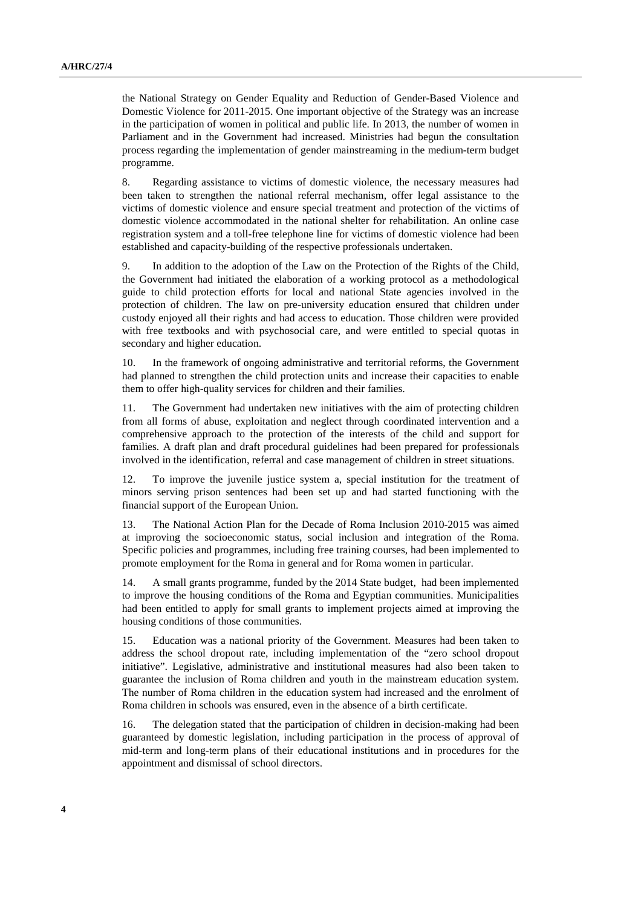the National Strategy on Gender Equality and Reduction of Gender-Based Violence and Domestic Violence for 2011-2015. One important objective of the Strategy was an increase in the participation of women in political and public life. In 2013, the number of women in Parliament and in the Government had increased. Ministries had begun the consultation process regarding the implementation of gender mainstreaming in the medium-term budget programme.

8. Regarding assistance to victims of domestic violence, the necessary measures had been taken to strengthen the national referral mechanism, offer legal assistance to the victims of domestic violence and ensure special treatment and protection of the victims of domestic violence accommodated in the national shelter for rehabilitation. An online case registration system and a toll-free telephone line for victims of domestic violence had been established and capacity-building of the respective professionals undertaken.

9. In addition to the adoption of the Law on the Protection of the Rights of the Child, the Government had initiated the elaboration of a working protocol as a methodological guide to child protection efforts for local and national State agencies involved in the protection of children. The law on pre-university education ensured that children under custody enjoyed all their rights and had access to education. Those children were provided with free textbooks and with psychosocial care, and were entitled to special quotas in secondary and higher education.

10. In the framework of ongoing administrative and territorial reforms, the Government had planned to strengthen the child protection units and increase their capacities to enable them to offer high-quality services for children and their families.

11. The Government had undertaken new initiatives with the aim of protecting children from all forms of abuse, exploitation and neglect through coordinated intervention and a comprehensive approach to the protection of the interests of the child and support for families. A draft plan and draft procedural guidelines had been prepared for professionals involved in the identification, referral and case management of children in street situations.

12. To improve the juvenile justice system a, special institution for the treatment of minors serving prison sentences had been set up and had started functioning with the financial support of the European Union.

13. The National Action Plan for the Decade of Roma Inclusion 2010-2015 was aimed at improving the socioeconomic status, social inclusion and integration of the Roma. Specific policies and programmes, including free training courses, had been implemented to promote employment for the Roma in general and for Roma women in particular.

14. A small grants programme, funded by the 2014 State budget, had been implemented to improve the housing conditions of the Roma and Egyptian communities. Municipalities had been entitled to apply for small grants to implement projects aimed at improving the housing conditions of those communities.

15. Education was a national priority of the Government. Measures had been taken to address the school dropout rate, including implementation of the "zero school dropout initiative". Legislative, administrative and institutional measures had also been taken to guarantee the inclusion of Roma children and youth in the mainstream education system. The number of Roma children in the education system had increased and the enrolment of Roma children in schools was ensured, even in the absence of a birth certificate.

16. The delegation stated that the participation of children in decision-making had been guaranteed by domestic legislation, including participation in the process of approval of mid-term and long-term plans of their educational institutions and in procedures for the appointment and dismissal of school directors.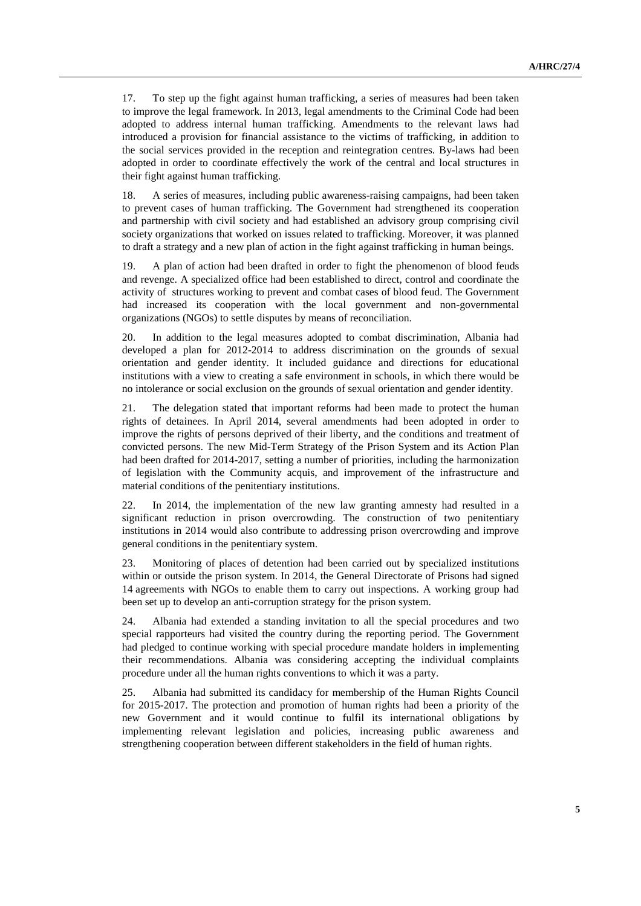17. To step up the fight against human trafficking, a series of measures had been taken to improve the legal framework. In 2013, legal amendments to the Criminal Code had been adopted to address internal human trafficking. Amendments to the relevant laws had introduced a provision for financial assistance to the victims of trafficking, in addition to the social services provided in the reception and reintegration centres. By-laws had been adopted in order to coordinate effectively the work of the central and local structures in their fight against human trafficking.

18. A series of measures, including public awareness-raising campaigns, had been taken to prevent cases of human trafficking. The Government had strengthened its cooperation and partnership with civil society and had established an advisory group comprising civil society organizations that worked on issues related to trafficking. Moreover, it was planned to draft a strategy and a new plan of action in the fight against trafficking in human beings.

19. A plan of action had been drafted in order to fight the phenomenon of blood feuds and revenge. A specialized office had been established to direct, control and coordinate the activity of structures working to prevent and combat cases of blood feud. The Government had increased its cooperation with the local government and non-governmental organizations (NGOs) to settle disputes by means of reconciliation.

20. In addition to the legal measures adopted to combat discrimination, Albania had developed a plan for 2012-2014 to address discrimination on the grounds of sexual orientation and gender identity. It included guidance and directions for educational institutions with a view to creating a safe environment in schools, in which there would be no intolerance or social exclusion on the grounds of sexual orientation and gender identity.

21. The delegation stated that important reforms had been made to protect the human rights of detainees. In April 2014, several amendments had been adopted in order to improve the rights of persons deprived of their liberty, and the conditions and treatment of convicted persons. The new Mid-Term Strategy of the Prison System and its Action Plan had been drafted for 2014-2017, setting a number of priorities, including the harmonization of legislation with the Community acquis, and improvement of the infrastructure and material conditions of the penitentiary institutions.

22. In 2014, the implementation of the new law granting amnesty had resulted in a significant reduction in prison overcrowding. The construction of two penitentiary institutions in 2014 would also contribute to addressing prison overcrowding and improve general conditions in the penitentiary system.

23. Monitoring of places of detention had been carried out by specialized institutions within or outside the prison system. In 2014, the General Directorate of Prisons had signed 14 agreements with NGOs to enable them to carry out inspections. A working group had been set up to develop an anti-corruption strategy for the prison system.

24. Albania had extended a standing invitation to all the special procedures and two special rapporteurs had visited the country during the reporting period. The Government had pledged to continue working with special procedure mandate holders in implementing their recommendations. Albania was considering accepting the individual complaints procedure under all the human rights conventions to which it was a party.

25. Albania had submitted its candidacy for membership of the Human Rights Council for 2015-2017. The protection and promotion of human rights had been a priority of the new Government and it would continue to fulfil its international obligations by implementing relevant legislation and policies, increasing public awareness and strengthening cooperation between different stakeholders in the field of human rights.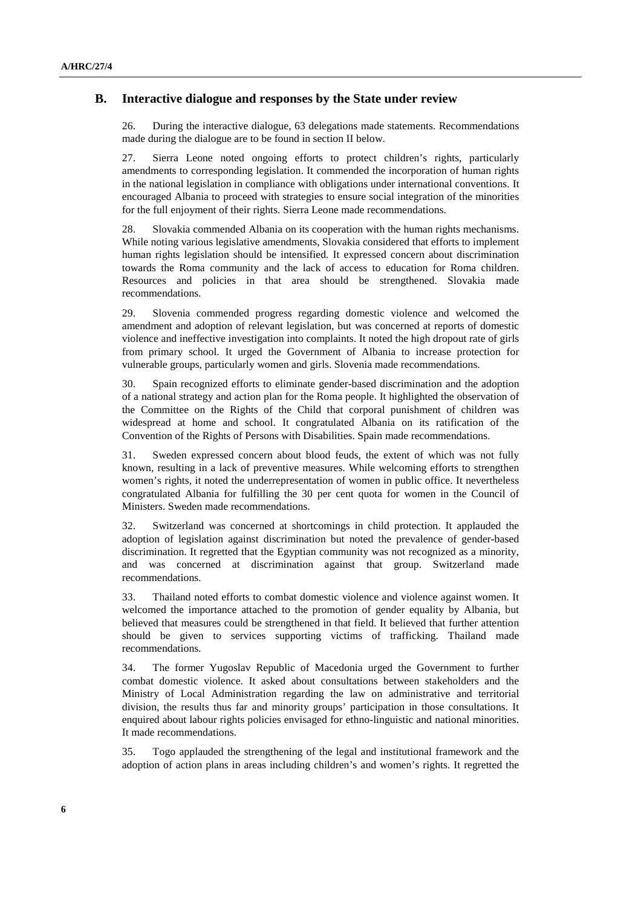#### **B. Interactive dialogue and responses by the State under review**

26. During the interactive dialogue, 63 delegations made statements. Recommendations made during the dialogue are to be found in section II below.

27. Sierra Leone noted ongoing efforts to protect children's rights, particularly amendments to corresponding legislation. It commended the incorporation of human rights in the national legislation in compliance with obligations under international conventions. It encouraged Albania to proceed with strategies to ensure social integration of the minorities for the full enjoyment of their rights. Sierra Leone made recommendations.

28. Slovakia commended Albania on its cooperation with the human rights mechanisms. While noting various legislative amendments, Slovakia considered that efforts to implement human rights legislation should be intensified. It expressed concern about discrimination towards the Roma community and the lack of access to education for Roma children. Resources and policies in that area should be strengthened. Slovakia made recommendations.

29. Slovenia commended progress regarding domestic violence and welcomed the amendment and adoption of relevant legislation, but was concerned at reports of domestic violence and ineffective investigation into complaints. It noted the high dropout rate of girls from primary school. It urged the Government of Albania to increase protection for vulnerable groups, particularly women and girls. Slovenia made recommendations.

30. Spain recognized efforts to eliminate gender-based discrimination and the adoption of a national strategy and action plan for the Roma people. It highlighted the observation of the Committee on the Rights of the Child that corporal punishment of children was widespread at home and school. It congratulated Albania on its ratification of the Convention of the Rights of Persons with Disabilities. Spain made recommendations.

31. Sweden expressed concern about blood feuds, the extent of which was not fully known, resulting in a lack of preventive measures. While welcoming efforts to strengthen women's rights, it noted the underrepresentation of women in public office. It nevertheless congratulated Albania for fulfilling the 30 per cent quota for women in the Council of Ministers. Sweden made recommendations.

32. Switzerland was concerned at shortcomings in child protection. It applauded the adoption of legislation against discrimination but noted the prevalence of gender-based discrimination. It regretted that the Egyptian community was not recognized as a minority, and was concerned at discrimination against that group. Switzerland made recommendations.

33. Thailand noted efforts to combat domestic violence and violence against women. It welcomed the importance attached to the promotion of gender equality by Albania, but believed that measures could be strengthened in that field. It believed that further attention should be given to services supporting victims of trafficking. Thailand made recommendations.

34. The former Yugoslav Republic of Macedonia urged the Government to further combat domestic violence. It asked about consultations between stakeholders and the Ministry of Local Administration regarding the law on administrative and territorial division, the results thus far and minority groups' participation in those consultations. It enquired about labour rights policies envisaged for ethno-linguistic and national minorities. It made recommendations.

35. Togo applauded the strengthening of the legal and institutional framework and the adoption of action plans in areas including children's and women's rights. It regretted the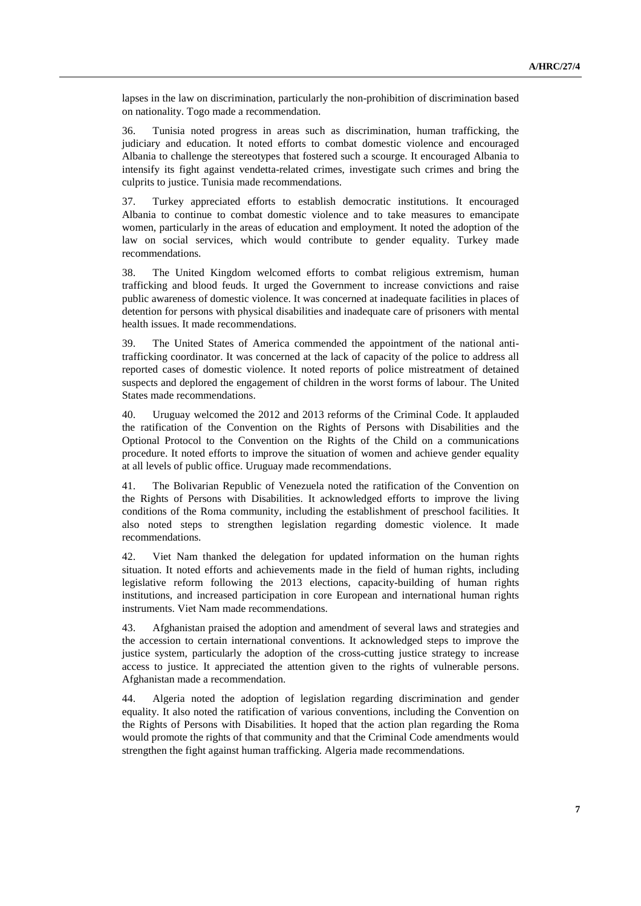lapses in the law on discrimination, particularly the non-prohibition of discrimination based on nationality. Togo made a recommendation.

36. Tunisia noted progress in areas such as discrimination, human trafficking, the judiciary and education. It noted efforts to combat domestic violence and encouraged Albania to challenge the stereotypes that fostered such a scourge. It encouraged Albania to intensify its fight against vendetta-related crimes, investigate such crimes and bring the culprits to justice. Tunisia made recommendations.

37. Turkey appreciated efforts to establish democratic institutions. It encouraged Albania to continue to combat domestic violence and to take measures to emancipate women, particularly in the areas of education and employment. It noted the adoption of the law on social services, which would contribute to gender equality. Turkey made recommendations.

38. The United Kingdom welcomed efforts to combat religious extremism, human trafficking and blood feuds. It urged the Government to increase convictions and raise public awareness of domestic violence. It was concerned at inadequate facilities in places of detention for persons with physical disabilities and inadequate care of prisoners with mental health issues. It made recommendations.

39. The United States of America commended the appointment of the national antitrafficking coordinator. It was concerned at the lack of capacity of the police to address all reported cases of domestic violence. It noted reports of police mistreatment of detained suspects and deplored the engagement of children in the worst forms of labour. The United States made recommendations.

40. Uruguay welcomed the 2012 and 2013 reforms of the Criminal Code. It applauded the ratification of the Convention on the Rights of Persons with Disabilities and the Optional Protocol to the Convention on the Rights of the Child on a communications procedure. It noted efforts to improve the situation of women and achieve gender equality at all levels of public office. Uruguay made recommendations.

41. The Bolivarian Republic of Venezuela noted the ratification of the Convention on the Rights of Persons with Disabilities. It acknowledged efforts to improve the living conditions of the Roma community, including the establishment of preschool facilities. It also noted steps to strengthen legislation regarding domestic violence. It made recommendations.

42. Viet Nam thanked the delegation for updated information on the human rights situation. It noted efforts and achievements made in the field of human rights, including legislative reform following the 2013 elections, capacity-building of human rights institutions, and increased participation in core European and international human rights instruments. Viet Nam made recommendations.

43. Afghanistan praised the adoption and amendment of several laws and strategies and the accession to certain international conventions. It acknowledged steps to improve the justice system, particularly the adoption of the cross-cutting justice strategy to increase access to justice. It appreciated the attention given to the rights of vulnerable persons. Afghanistan made a recommendation.

44. Algeria noted the adoption of legislation regarding discrimination and gender equality. It also noted the ratification of various conventions, including the Convention on the Rights of Persons with Disabilities. It hoped that the action plan regarding the Roma would promote the rights of that community and that the Criminal Code amendments would strengthen the fight against human trafficking. Algeria made recommendations.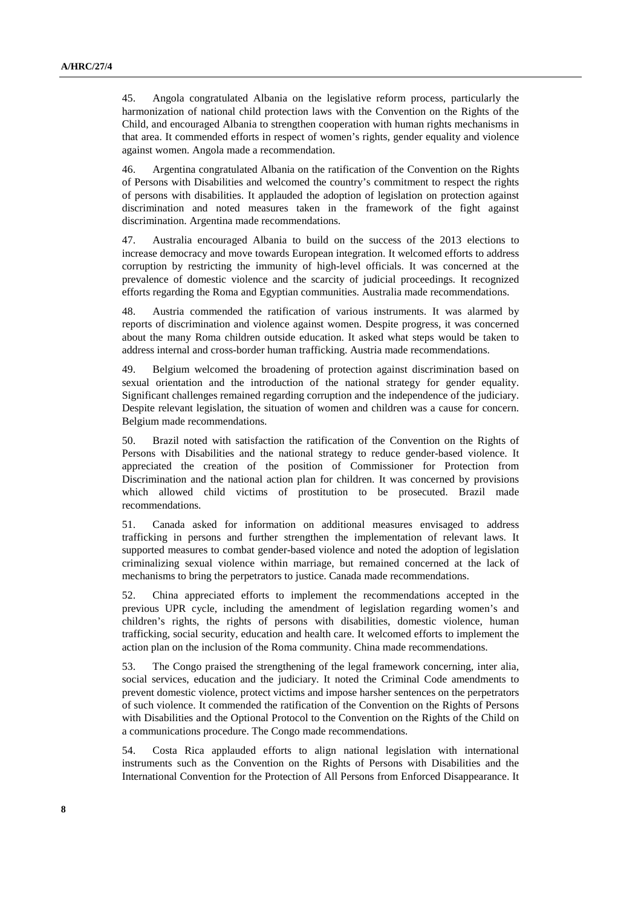45. Angola congratulated Albania on the legislative reform process, particularly the harmonization of national child protection laws with the Convention on the Rights of the Child, and encouraged Albania to strengthen cooperation with human rights mechanisms in that area. It commended efforts in respect of women's rights, gender equality and violence against women. Angola made a recommendation.

46. Argentina congratulated Albania on the ratification of the Convention on the Rights of Persons with Disabilities and welcomed the country's commitment to respect the rights of persons with disabilities. It applauded the adoption of legislation on protection against discrimination and noted measures taken in the framework of the fight against discrimination. Argentina made recommendations.

47. Australia encouraged Albania to build on the success of the 2013 elections to increase democracy and move towards European integration. It welcomed efforts to address corruption by restricting the immunity of high-level officials. It was concerned at the prevalence of domestic violence and the scarcity of judicial proceedings. It recognized efforts regarding the Roma and Egyptian communities. Australia made recommendations.

48. Austria commended the ratification of various instruments. It was alarmed by reports of discrimination and violence against women. Despite progress, it was concerned about the many Roma children outside education. It asked what steps would be taken to address internal and cross-border human trafficking. Austria made recommendations.

49. Belgium welcomed the broadening of protection against discrimination based on sexual orientation and the introduction of the national strategy for gender equality. Significant challenges remained regarding corruption and the independence of the judiciary. Despite relevant legislation, the situation of women and children was a cause for concern. Belgium made recommendations.

50. Brazil noted with satisfaction the ratification of the Convention on the Rights of Persons with Disabilities and the national strategy to reduce gender-based violence. It appreciated the creation of the position of Commissioner for Protection from Discrimination and the national action plan for children. It was concerned by provisions which allowed child victims of prostitution to be prosecuted. Brazil made recommendations.

51. Canada asked for information on additional measures envisaged to address trafficking in persons and further strengthen the implementation of relevant laws. It supported measures to combat gender-based violence and noted the adoption of legislation criminalizing sexual violence within marriage, but remained concerned at the lack of mechanisms to bring the perpetrators to justice. Canada made recommendations.

52. China appreciated efforts to implement the recommendations accepted in the previous UPR cycle, including the amendment of legislation regarding women's and children's rights, the rights of persons with disabilities, domestic violence, human trafficking, social security, education and health care. It welcomed efforts to implement the action plan on the inclusion of the Roma community. China made recommendations.

53. The Congo praised the strengthening of the legal framework concerning, inter alia, social services, education and the judiciary. It noted the Criminal Code amendments to prevent domestic violence, protect victims and impose harsher sentences on the perpetrators of such violence. It commended the ratification of the Convention on the Rights of Persons with Disabilities and the Optional Protocol to the Convention on the Rights of the Child on a communications procedure. The Congo made recommendations.

54. Costa Rica applauded efforts to align national legislation with international instruments such as the Convention on the Rights of Persons with Disabilities and the International Convention for the Protection of All Persons from Enforced Disappearance. It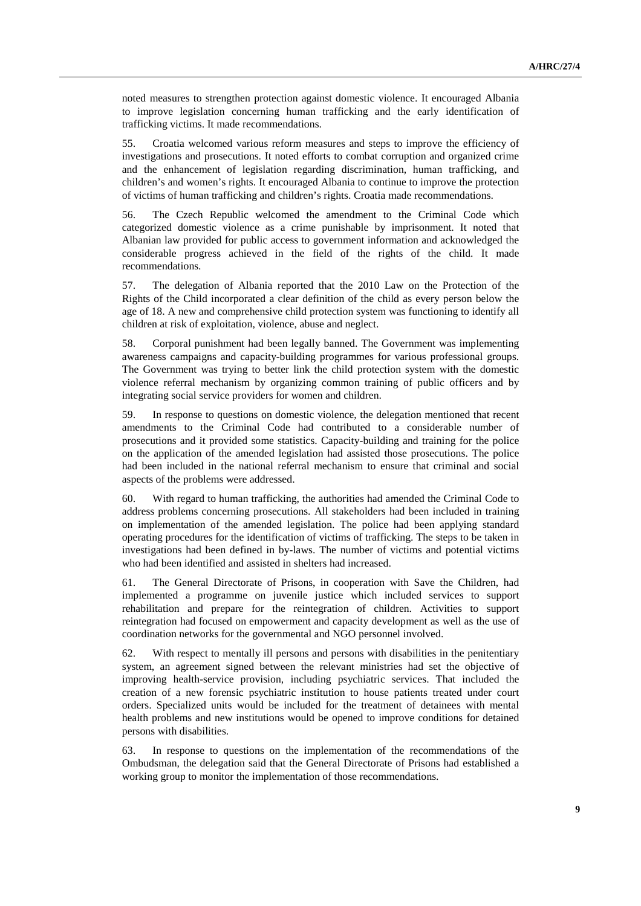noted measures to strengthen protection against domestic violence. It encouraged Albania to improve legislation concerning human trafficking and the early identification of trafficking victims. It made recommendations.

55. Croatia welcomed various reform measures and steps to improve the efficiency of investigations and prosecutions. It noted efforts to combat corruption and organized crime and the enhancement of legislation regarding discrimination, human trafficking, and children's and women's rights. It encouraged Albania to continue to improve the protection of victims of human trafficking and children's rights. Croatia made recommendations.

56. The Czech Republic welcomed the amendment to the Criminal Code which categorized domestic violence as a crime punishable by imprisonment. It noted that Albanian law provided for public access to government information and acknowledged the considerable progress achieved in the field of the rights of the child. It made recommendations.

57. The delegation of Albania reported that the 2010 Law on the Protection of the Rights of the Child incorporated a clear definition of the child as every person below the age of 18. A new and comprehensive child protection system was functioning to identify all children at risk of exploitation, violence, abuse and neglect.

58. Corporal punishment had been legally banned. The Government was implementing awareness campaigns and capacity-building programmes for various professional groups. The Government was trying to better link the child protection system with the domestic violence referral mechanism by organizing common training of public officers and by integrating social service providers for women and children.

59. In response to questions on domestic violence, the delegation mentioned that recent amendments to the Criminal Code had contributed to a considerable number of prosecutions and it provided some statistics. Capacity-building and training for the police on the application of the amended legislation had assisted those prosecutions. The police had been included in the national referral mechanism to ensure that criminal and social aspects of the problems were addressed.

60. With regard to human trafficking, the authorities had amended the Criminal Code to address problems concerning prosecutions. All stakeholders had been included in training on implementation of the amended legislation. The police had been applying standard operating procedures for the identification of victims of trafficking. The steps to be taken in investigations had been defined in by-laws. The number of victims and potential victims who had been identified and assisted in shelters had increased.

61. The General Directorate of Prisons, in cooperation with Save the Children, had implemented a programme on juvenile justice which included services to support rehabilitation and prepare for the reintegration of children. Activities to support reintegration had focused on empowerment and capacity development as well as the use of coordination networks for the governmental and NGO personnel involved.

62. With respect to mentally ill persons and persons with disabilities in the penitentiary system, an agreement signed between the relevant ministries had set the objective of improving health-service provision, including psychiatric services. That included the creation of a new forensic psychiatric institution to house patients treated under court orders. Specialized units would be included for the treatment of detainees with mental health problems and new institutions would be opened to improve conditions for detained persons with disabilities.

63. In response to questions on the implementation of the recommendations of the Ombudsman, the delegation said that the General Directorate of Prisons had established a working group to monitor the implementation of those recommendations.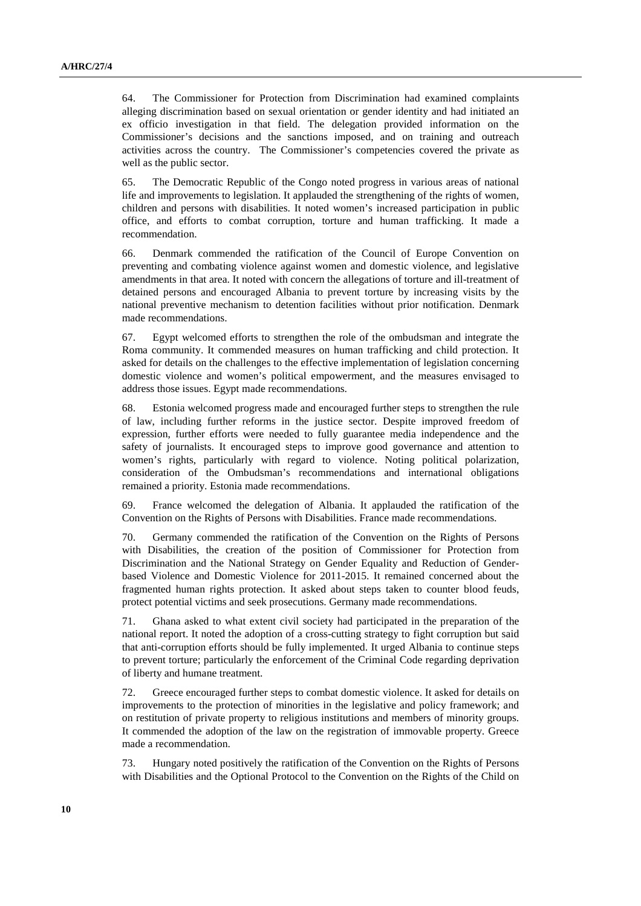64. The Commissioner for Protection from Discrimination had examined complaints alleging discrimination based on sexual orientation or gender identity and had initiated an ex officio investigation in that field. The delegation provided information on the Commissioner's decisions and the sanctions imposed, and on training and outreach activities across the country. The Commissioner's competencies covered the private as well as the public sector.

65. The Democratic Republic of the Congo noted progress in various areas of national life and improvements to legislation. It applauded the strengthening of the rights of women, children and persons with disabilities. It noted women's increased participation in public office, and efforts to combat corruption, torture and human trafficking. It made a recommendation.

66. Denmark commended the ratification of the Council of Europe Convention on preventing and combating violence against women and domestic violence, and legislative amendments in that area. It noted with concern the allegations of torture and ill-treatment of detained persons and encouraged Albania to prevent torture by increasing visits by the national preventive mechanism to detention facilities without prior notification. Denmark made recommendations.

67. Egypt welcomed efforts to strengthen the role of the ombudsman and integrate the Roma community. It commended measures on human trafficking and child protection. It asked for details on the challenges to the effective implementation of legislation concerning domestic violence and women's political empowerment, and the measures envisaged to address those issues. Egypt made recommendations.

68. Estonia welcomed progress made and encouraged further steps to strengthen the rule of law, including further reforms in the justice sector. Despite improved freedom of expression, further efforts were needed to fully guarantee media independence and the safety of journalists. It encouraged steps to improve good governance and attention to women's rights, particularly with regard to violence. Noting political polarization, consideration of the Ombudsman's recommendations and international obligations remained a priority. Estonia made recommendations.

69. France welcomed the delegation of Albania. It applauded the ratification of the Convention on the Rights of Persons with Disabilities. France made recommendations.

70. Germany commended the ratification of the Convention on the Rights of Persons with Disabilities, the creation of the position of Commissioner for Protection from Discrimination and the National Strategy on Gender Equality and Reduction of Genderbased Violence and Domestic Violence for 2011-2015. It remained concerned about the fragmented human rights protection. It asked about steps taken to counter blood feuds, protect potential victims and seek prosecutions. Germany made recommendations.

71. Ghana asked to what extent civil society had participated in the preparation of the national report. It noted the adoption of a cross-cutting strategy to fight corruption but said that anti-corruption efforts should be fully implemented. It urged Albania to continue steps to prevent torture; particularly the enforcement of the Criminal Code regarding deprivation of liberty and humane treatment.

72. Greece encouraged further steps to combat domestic violence. It asked for details on improvements to the protection of minorities in the legislative and policy framework; and on restitution of private property to religious institutions and members of minority groups. It commended the adoption of the law on the registration of immovable property. Greece made a recommendation.

73. Hungary noted positively the ratification of the Convention on the Rights of Persons with Disabilities and the Optional Protocol to the Convention on the Rights of the Child on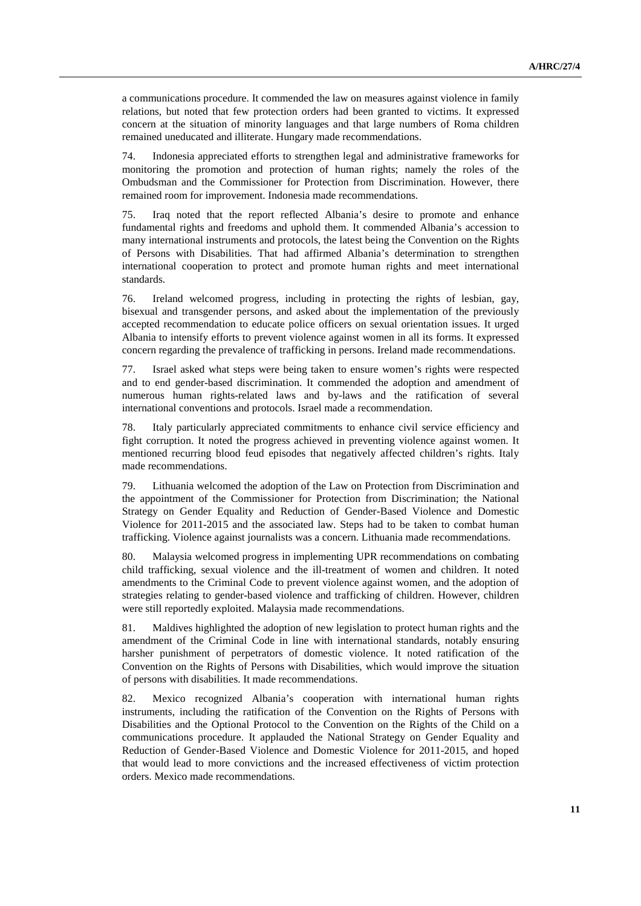a communications procedure. It commended the law on measures against violence in family relations, but noted that few protection orders had been granted to victims. It expressed concern at the situation of minority languages and that large numbers of Roma children remained uneducated and illiterate. Hungary made recommendations.

74. Indonesia appreciated efforts to strengthen legal and administrative frameworks for monitoring the promotion and protection of human rights; namely the roles of the Ombudsman and the Commissioner for Protection from Discrimination. However, there remained room for improvement. Indonesia made recommendations.

75. Iraq noted that the report reflected Albania's desire to promote and enhance fundamental rights and freedoms and uphold them. It commended Albania's accession to many international instruments and protocols, the latest being the Convention on the Rights of Persons with Disabilities. That had affirmed Albania's determination to strengthen international cooperation to protect and promote human rights and meet international standards.

76. Ireland welcomed progress, including in protecting the rights of lesbian, gay, bisexual and transgender persons, and asked about the implementation of the previously accepted recommendation to educate police officers on sexual orientation issues. It urged Albania to intensify efforts to prevent violence against women in all its forms. It expressed concern regarding the prevalence of trafficking in persons. Ireland made recommendations.

77. Israel asked what steps were being taken to ensure women's rights were respected and to end gender-based discrimination. It commended the adoption and amendment of numerous human rights-related laws and by-laws and the ratification of several international conventions and protocols. Israel made a recommendation.

78. Italy particularly appreciated commitments to enhance civil service efficiency and fight corruption. It noted the progress achieved in preventing violence against women. It mentioned recurring blood feud episodes that negatively affected children's rights. Italy made recommendations.

79. Lithuania welcomed the adoption of the Law on Protection from Discrimination and the appointment of the Commissioner for Protection from Discrimination; the National Strategy on Gender Equality and Reduction of Gender-Based Violence and Domestic Violence for 2011-2015 and the associated law. Steps had to be taken to combat human trafficking. Violence against journalists was a concern. Lithuania made recommendations.

80. Malaysia welcomed progress in implementing UPR recommendations on combating child trafficking, sexual violence and the ill-treatment of women and children. It noted amendments to the Criminal Code to prevent violence against women, and the adoption of strategies relating to gender-based violence and trafficking of children. However, children were still reportedly exploited. Malaysia made recommendations.

81. Maldives highlighted the adoption of new legislation to protect human rights and the amendment of the Criminal Code in line with international standards, notably ensuring harsher punishment of perpetrators of domestic violence. It noted ratification of the Convention on the Rights of Persons with Disabilities, which would improve the situation of persons with disabilities. It made recommendations.

82. Mexico recognized Albania's cooperation with international human rights instruments, including the ratification of the Convention on the Rights of Persons with Disabilities and the Optional Protocol to the Convention on the Rights of the Child on a communications procedure. It applauded the National Strategy on Gender Equality and Reduction of Gender-Based Violence and Domestic Violence for 2011-2015, and hoped that would lead to more convictions and the increased effectiveness of victim protection orders. Mexico made recommendations.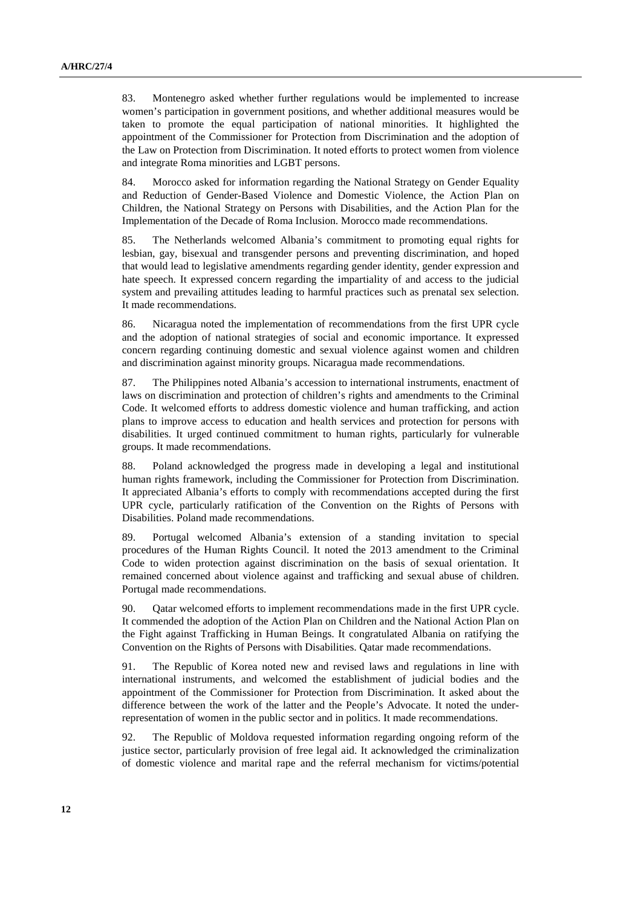83. Montenegro asked whether further regulations would be implemented to increase women's participation in government positions, and whether additional measures would be taken to promote the equal participation of national minorities. It highlighted the appointment of the Commissioner for Protection from Discrimination and the adoption of the Law on Protection from Discrimination. It noted efforts to protect women from violence and integrate Roma minorities and LGBT persons.

84. Morocco asked for information regarding the National Strategy on Gender Equality and Reduction of Gender-Based Violence and Domestic Violence, the Action Plan on Children, the National Strategy on Persons with Disabilities, and the Action Plan for the Implementation of the Decade of Roma Inclusion. Morocco made recommendations.

85. The Netherlands welcomed Albania's commitment to promoting equal rights for lesbian, gay, bisexual and transgender persons and preventing discrimination, and hoped that would lead to legislative amendments regarding gender identity, gender expression and hate speech. It expressed concern regarding the impartiality of and access to the judicial system and prevailing attitudes leading to harmful practices such as prenatal sex selection. It made recommendations.

86. Nicaragua noted the implementation of recommendations from the first UPR cycle and the adoption of national strategies of social and economic importance. It expressed concern regarding continuing domestic and sexual violence against women and children and discrimination against minority groups. Nicaragua made recommendations.

87. The Philippines noted Albania's accession to international instruments, enactment of laws on discrimination and protection of children's rights and amendments to the Criminal Code. It welcomed efforts to address domestic violence and human trafficking, and action plans to improve access to education and health services and protection for persons with disabilities. It urged continued commitment to human rights, particularly for vulnerable groups. It made recommendations.

88. Poland acknowledged the progress made in developing a legal and institutional human rights framework, including the Commissioner for Protection from Discrimination. It appreciated Albania's efforts to comply with recommendations accepted during the first UPR cycle, particularly ratification of the Convention on the Rights of Persons with Disabilities. Poland made recommendations.

89. Portugal welcomed Albania's extension of a standing invitation to special procedures of the Human Rights Council. It noted the 2013 amendment to the Criminal Code to widen protection against discrimination on the basis of sexual orientation. It remained concerned about violence against and trafficking and sexual abuse of children. Portugal made recommendations.

90. Qatar welcomed efforts to implement recommendations made in the first UPR cycle. It commended the adoption of the Action Plan on Children and the National Action Plan on the Fight against Trafficking in Human Beings. It congratulated Albania on ratifying the Convention on the Rights of Persons with Disabilities. Qatar made recommendations.

91. The Republic of Korea noted new and revised laws and regulations in line with international instruments, and welcomed the establishment of judicial bodies and the appointment of the Commissioner for Protection from Discrimination. It asked about the difference between the work of the latter and the People's Advocate. It noted the underrepresentation of women in the public sector and in politics. It made recommendations.

92. The Republic of Moldova requested information regarding ongoing reform of the justice sector, particularly provision of free legal aid. It acknowledged the criminalization of domestic violence and marital rape and the referral mechanism for victims/potential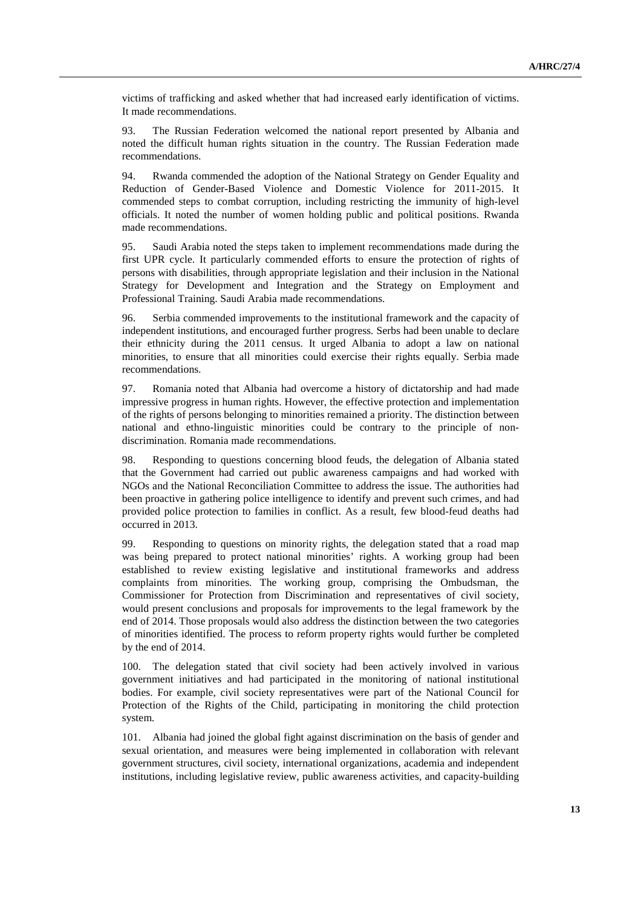victims of trafficking and asked whether that had increased early identification of victims. It made recommendations.

93. The Russian Federation welcomed the national report presented by Albania and noted the difficult human rights situation in the country. The Russian Federation made recommendations.

94. Rwanda commended the adoption of the National Strategy on Gender Equality and Reduction of Gender-Based Violence and Domestic Violence for 2011-2015. It commended steps to combat corruption, including restricting the immunity of high-level officials. It noted the number of women holding public and political positions. Rwanda made recommendations.

95. Saudi Arabia noted the steps taken to implement recommendations made during the first UPR cycle. It particularly commended efforts to ensure the protection of rights of persons with disabilities, through appropriate legislation and their inclusion in the National Strategy for Development and Integration and the Strategy on Employment and Professional Training. Saudi Arabia made recommendations.

96. Serbia commended improvements to the institutional framework and the capacity of independent institutions, and encouraged further progress. Serbs had been unable to declare their ethnicity during the 2011 census. It urged Albania to adopt a law on national minorities, to ensure that all minorities could exercise their rights equally. Serbia made recommendations.

97. Romania noted that Albania had overcome a history of dictatorship and had made impressive progress in human rights. However, the effective protection and implementation of the rights of persons belonging to minorities remained a priority. The distinction between national and ethno-linguistic minorities could be contrary to the principle of nondiscrimination. Romania made recommendations.

98. Responding to questions concerning blood feuds, the delegation of Albania stated that the Government had carried out public awareness campaigns and had worked with NGOs and the National Reconciliation Committee to address the issue. The authorities had been proactive in gathering police intelligence to identify and prevent such crimes, and had provided police protection to families in conflict. As a result, few blood-feud deaths had occurred in 2013.

99. Responding to questions on minority rights, the delegation stated that a road map was being prepared to protect national minorities' rights. A working group had been established to review existing legislative and institutional frameworks and address complaints from minorities. The working group, comprising the Ombudsman, the Commissioner for Protection from Discrimination and representatives of civil society, would present conclusions and proposals for improvements to the legal framework by the end of 2014. Those proposals would also address the distinction between the two categories of minorities identified. The process to reform property rights would further be completed by the end of 2014.

100. The delegation stated that civil society had been actively involved in various government initiatives and had participated in the monitoring of national institutional bodies. For example, civil society representatives were part of the National Council for Protection of the Rights of the Child, participating in monitoring the child protection system.

101. Albania had joined the global fight against discrimination on the basis of gender and sexual orientation, and measures were being implemented in collaboration with relevant government structures, civil society, international organizations, academia and independent institutions, including legislative review, public awareness activities, and capacity-building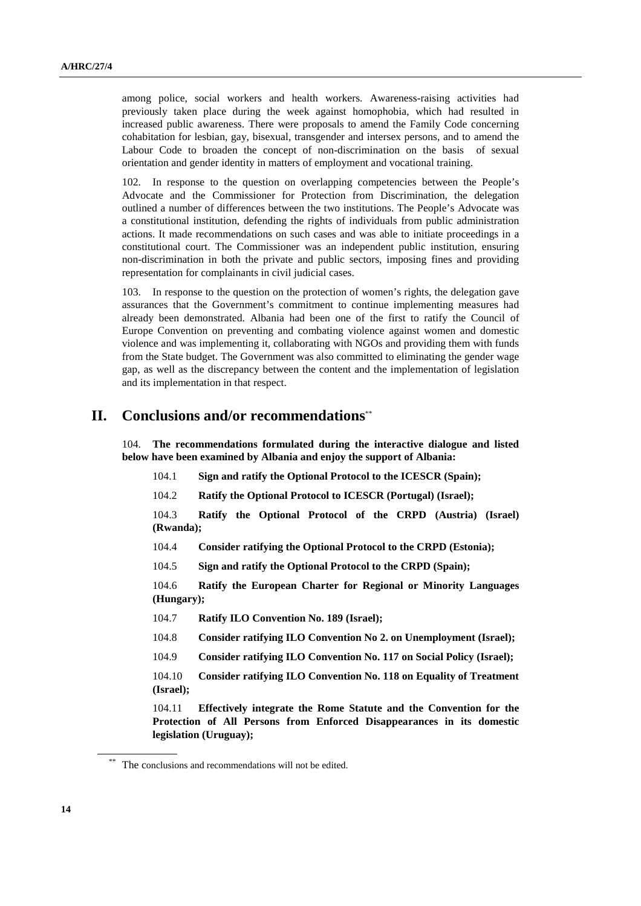among police, social workers and health workers. Awareness-raising activities had previously taken place during the week against homophobia, which had resulted in increased public awareness. There were proposals to amend the Family Code concerning cohabitation for lesbian, gay, bisexual, transgender and intersex persons, and to amend the Labour Code to broaden the concept of non-discrimination on the basis of sexual orientation and gender identity in matters of employment and vocational training.

102. In response to the question on overlapping competencies between the People's Advocate and the Commissioner for Protection from Discrimination, the delegation outlined a number of differences between the two institutions. The People's Advocate was a constitutional institution, defending the rights of individuals from public administration actions. It made recommendations on such cases and was able to initiate proceedings in a constitutional court. The Commissioner was an independent public institution, ensuring non-discrimination in both the private and public sectors, imposing fines and providing representation for complainants in civil judicial cases.

103. In response to the question on the protection of women's rights, the delegation gave assurances that the Government's commitment to continue implementing measures had already been demonstrated. Albania had been one of the first to ratify the Council of Europe Convention on preventing and combating violence against women and domestic violence and was implementing it, collaborating with NGOs and providing them with funds from the State budget. The Government was also committed to eliminating the gender wage gap, as well as the discrepancy between the content and the implementation of legislation and its implementation in that respect.

### **II. Conclusions and/or recommendations**\*\*

104. **The recommendations formulated during the interactive dialogue and listed below have been examined by Albania and enjoy the support of Albania:** 

- 104.1 **Sign and ratify the Optional Protocol to the ICESCR (Spain);**
- 104.2 **Ratify the Optional Protocol to ICESCR (Portugal) (Israel);**

104.3 **Ratify the Optional Protocol of the CRPD (Austria) (Israel) (Rwanda);**

104.4 **Consider ratifying the Optional Protocol to the CRPD (Estonia);**

104.5 **Sign and ratify the Optional Protocol to the CRPD (Spain);**

104.6 **Ratify the European Charter for Regional or Minority Languages (Hungary);**

- 104.7 **Ratify ILO Convention No. 189 (Israel);**
- 104.8 **Consider ratifying ILO Convention No 2. on Unemployment (Israel);**
- 104.9 **Consider ratifying ILO Convention No. 117 on Social Policy (Israel);**

104.10 **Consider ratifying ILO Convention No. 118 on Equality of Treatment (Israel);**

104.11 **Effectively integrate the Rome Statute and the Convention for the Protection of All Persons from Enforced Disappearances in its domestic legislation (Uruguay);**

The conclusions and recommendations will not be edited.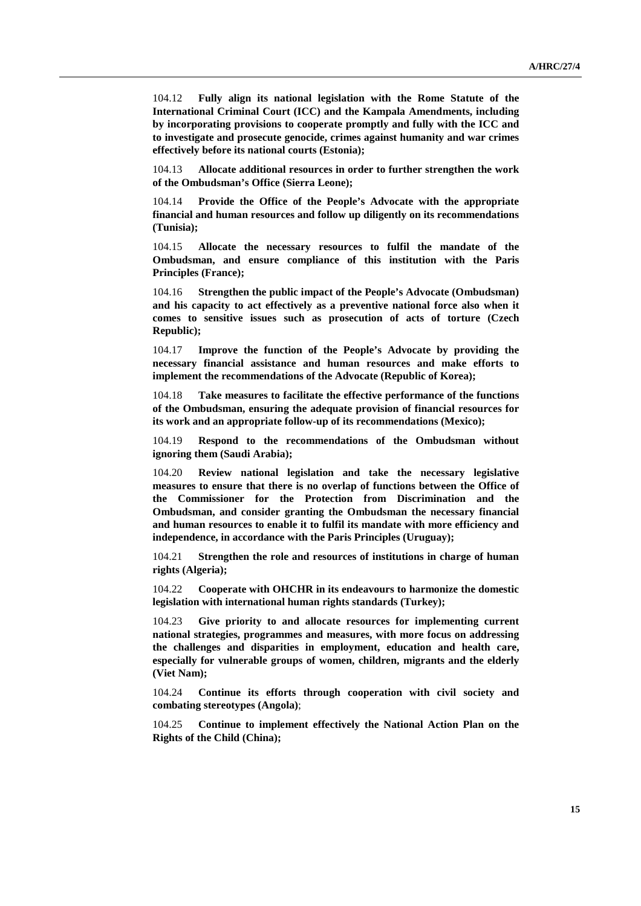104.12 **Fully align its national legislation with the Rome Statute of the International Criminal Court (ICC) and the Kampala Amendments, including by incorporating provisions to cooperate promptly and fully with the ICC and to investigate and prosecute genocide, crimes against humanity and war crimes effectively before its national courts (Estonia);**

104.13 **Allocate additional resources in order to further strengthen the work of the Ombudsman's Office (Sierra Leone);**

104.14 **Provide the Office of the People's Advocate with the appropriate financial and human resources and follow up diligently on its recommendations (Tunisia);**

104.15 **Allocate the necessary resources to fulfil the mandate of the Ombudsman, and ensure compliance of this institution with the Paris Principles (France);**

104.16 **Strengthen the public impact of the People's Advocate (Ombudsman) and his capacity to act effectively as a preventive national force also when it comes to sensitive issues such as prosecution of acts of torture (Czech Republic);**

104.17 **Improve the function of the People's Advocate by providing the necessary financial assistance and human resources and make efforts to implement the recommendations of the Advocate (Republic of Korea);**

104.18 **Take measures to facilitate the effective performance of the functions of the Ombudsman, ensuring the adequate provision of financial resources for its work and an appropriate follow-up of its recommendations (Mexico);**

104.19 **Respond to the recommendations of the Ombudsman without ignoring them (Saudi Arabia);**

104.20 **Review national legislation and take the necessary legislative measures to ensure that there is no overlap of functions between the Office of the Commissioner for the Protection from Discrimination and the Ombudsman, and consider granting the Ombudsman the necessary financial and human resources to enable it to fulfil its mandate with more efficiency and independence, in accordance with the Paris Principles (Uruguay);** 

104.21 **Strengthen the role and resources of institutions in charge of human rights (Algeria);**

104.22 **Cooperate with OHCHR in its endeavours to harmonize the domestic legislation with international human rights standards (Turkey);**

104.23 **Give priority to and allocate resources for implementing current national strategies, programmes and measures, with more focus on addressing the challenges and disparities in employment, education and health care, especially for vulnerable groups of women, children, migrants and the elderly (Viet Nam);**

104.24 **Continue its efforts through cooperation with civil society and combating stereotypes (Angola)**;

104.25 **Continue to implement effectively the National Action Plan on the Rights of the Child (China);**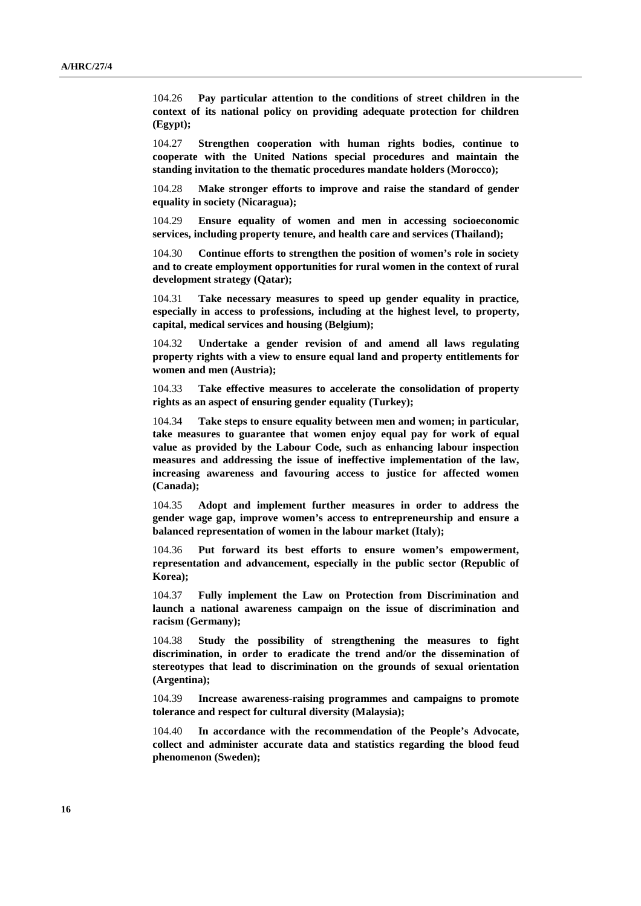104.26 **Pay particular attention to the conditions of street children in the context of its national policy on providing adequate protection for children (Egypt);**

104.27 **Strengthen cooperation with human rights bodies, continue to cooperate with the United Nations special procedures and maintain the standing invitation to the thematic procedures mandate holders (Morocco);**

104.28 **Make stronger efforts to improve and raise the standard of gender equality in society (Nicaragua);**

104.29 **Ensure equality of women and men in accessing socioeconomic services, including property tenure, and health care and services (Thailand);**

104.30 **Continue efforts to strengthen the position of women's role in society and to create employment opportunities for rural women in the context of rural development strategy (Qatar);**

104.31 **Take necessary measures to speed up gender equality in practice, especially in access to professions, including at the highest level, to property, capital, medical services and housing (Belgium);**

104.32 **Undertake a gender revision of and amend all laws regulating property rights with a view to ensure equal land and property entitlements for women and men (Austria);**

104.33 **Take effective measures to accelerate the consolidation of property rights as an aspect of ensuring gender equality (Turkey);**

104.34 **Take steps to ensure equality between men and women; in particular, take measures to guarantee that women enjoy equal pay for work of equal value as provided by the Labour Code, such as enhancing labour inspection measures and addressing the issue of ineffective implementation of the law, increasing awareness and favouring access to justice for affected women (Canada);**

104.35 **Adopt and implement further measures in order to address the gender wage gap, improve women's access to entrepreneurship and ensure a balanced representation of women in the labour market (Italy);**

104.36 **Put forward its best efforts to ensure women's empowerment, representation and advancement, especially in the public sector (Republic of Korea);**

104.37 **Fully implement the Law on Protection from Discrimination and launch a national awareness campaign on the issue of discrimination and racism (Germany);**

104.38 **Study the possibility of strengthening the measures to fight discrimination, in order to eradicate the trend and/or the dissemination of stereotypes that lead to discrimination on the grounds of sexual orientation (Argentina);**

104.39 **Increase awareness-raising programmes and campaigns to promote tolerance and respect for cultural diversity (Malaysia);**

104.40 **In accordance with the recommendation of the People's Advocate, collect and administer accurate data and statistics regarding the blood feud phenomenon (Sweden);**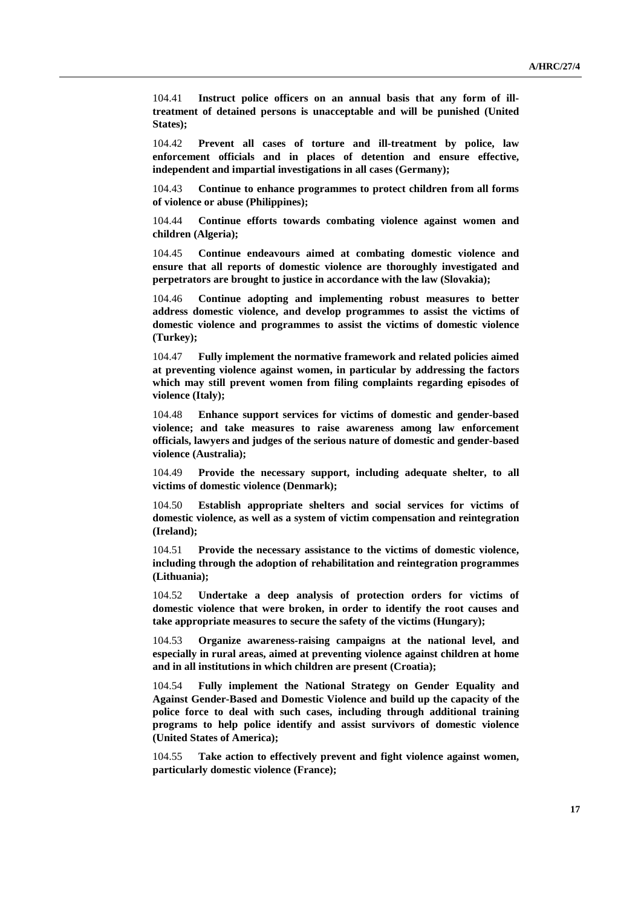104.41 **Instruct police officers on an annual basis that any form of illtreatment of detained persons is unacceptable and will be punished (United States);**

104.42 **Prevent all cases of torture and ill-treatment by police, law enforcement officials and in places of detention and ensure effective, independent and impartial investigations in all cases (Germany);**

104.43 **Continue to enhance programmes to protect children from all forms of violence or abuse (Philippines);**

104.44 **Continue efforts towards combating violence against women and children (Algeria);**

104.45 **Continue endeavours aimed at combating domestic violence and ensure that all reports of domestic violence are thoroughly investigated and perpetrators are brought to justice in accordance with the law (Slovakia);**

104.46 **Continue adopting and implementing robust measures to better address domestic violence, and develop programmes to assist the victims of domestic violence and programmes to assist the victims of domestic violence (Turkey);**

104.47 **Fully implement the normative framework and related policies aimed at preventing violence against women, in particular by addressing the factors which may still prevent women from filing complaints regarding episodes of violence (Italy);**

104.48 **Enhance support services for victims of domestic and gender-based violence; and take measures to raise awareness among law enforcement officials, lawyers and judges of the serious nature of domestic and gender-based violence (Australia);**

104.49 **Provide the necessary support, including adequate shelter, to all victims of domestic violence (Denmark);**

104.50 **Establish appropriate shelters and social services for victims of domestic violence, as well as a system of victim compensation and reintegration (Ireland);**

104.51 **Provide the necessary assistance to the victims of domestic violence, including through the adoption of rehabilitation and reintegration programmes (Lithuania);**

104.52 **Undertake a deep analysis of protection orders for victims of domestic violence that were broken, in order to identify the root causes and take appropriate measures to secure the safety of the victims (Hungary);**

104.53 **Organize awareness-raising campaigns at the national level, and especially in rural areas, aimed at preventing violence against children at home and in all institutions in which children are present (Croatia);**

104.54 **Fully implement the National Strategy on Gender Equality and Against Gender-Based and Domestic Violence and build up the capacity of the police force to deal with such cases, including through additional training programs to help police identify and assist survivors of domestic violence (United States of America);**

104.55 **Take action to effectively prevent and fight violence against women, particularly domestic violence (France);**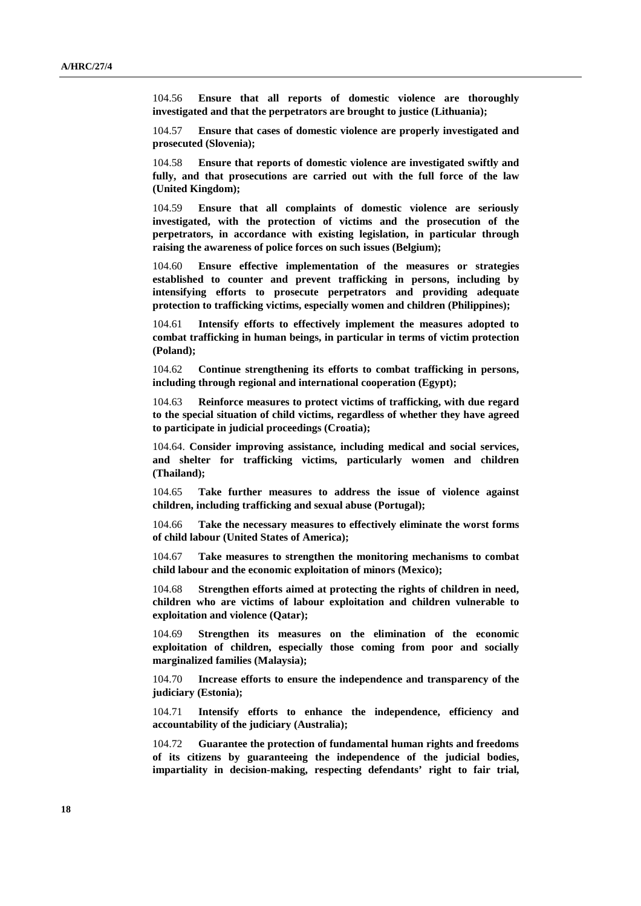104.56 **Ensure that all reports of domestic violence are thoroughly investigated and that the perpetrators are brought to justice (Lithuania);**

104.57 **Ensure that cases of domestic violence are properly investigated and prosecuted (Slovenia);**

104.58 **Ensure that reports of domestic violence are investigated swiftly and fully, and that prosecutions are carried out with the full force of the law (United Kingdom);**

104.59 **Ensure that all complaints of domestic violence are seriously investigated, with the protection of victims and the prosecution of the perpetrators, in accordance with existing legislation, in particular through raising the awareness of police forces on such issues (Belgium);**

104.60 **Ensure effective implementation of the measures or strategies established to counter and prevent trafficking in persons, including by intensifying efforts to prosecute perpetrators and providing adequate protection to trafficking victims, especially women and children (Philippines);**

104.61 **Intensify efforts to effectively implement the measures adopted to combat trafficking in human beings, in particular in terms of victim protection (Poland);**

104.62 **Continue strengthening its efforts to combat trafficking in persons, including through regional and international cooperation (Egypt);**

104.63 **Reinforce measures to protect victims of trafficking, with due regard to the special situation of child victims, regardless of whether they have agreed to participate in judicial proceedings (Croatia);**

104.64. **Consider improving assistance, including medical and social services, and shelter for trafficking victims, particularly women and children (Thailand);**

104.65 **Take further measures to address the issue of violence against children, including trafficking and sexual abuse (Portugal);**

104.66 **Take the necessary measures to effectively eliminate the worst forms of child labour (United States of America);**

104.67 **Take measures to strengthen the monitoring mechanisms to combat child labour and the economic exploitation of minors (Mexico);**

104.68 **Strengthen efforts aimed at protecting the rights of children in need, children who are victims of labour exploitation and children vulnerable to exploitation and violence (Qatar);**

104.69 **Strengthen its measures on the elimination of the economic exploitation of children, especially those coming from poor and socially marginalized families (Malaysia);**

104.70 **Increase efforts to ensure the independence and transparency of the judiciary (Estonia);**

104.71 **Intensify efforts to enhance the independence, efficiency and accountability of the judiciary (Australia);**

104.72 **Guarantee the protection of fundamental human rights and freedoms of its citizens by guaranteeing the independence of the judicial bodies, impartiality in decision-making, respecting defendants' right to fair trial,**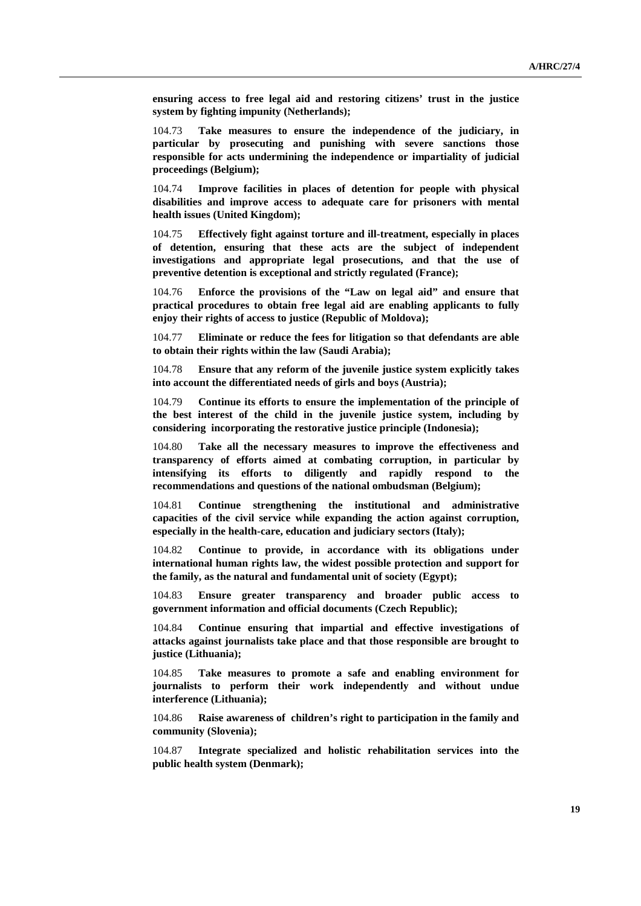**ensuring access to free legal aid and restoring citizens' trust in the justice system by fighting impunity (Netherlands);**

104.73 **Take measures to ensure the independence of the judiciary, in particular by prosecuting and punishing with severe sanctions those responsible for acts undermining the independence or impartiality of judicial proceedings (Belgium);**

104.74 **Improve facilities in places of detention for people with physical disabilities and improve access to adequate care for prisoners with mental health issues (United Kingdom);**

104.75 **Effectively fight against torture and ill-treatment, especially in places of detention, ensuring that these acts are the subject of independent investigations and appropriate legal prosecutions, and that the use of preventive detention is exceptional and strictly regulated (France);**

104.76 **Enforce the provisions of the "Law on legal aid" and ensure that practical procedures to obtain free legal aid are enabling applicants to fully enjoy their rights of access to justice (Republic of Moldova);**

104.77 **Eliminate or reduce the fees for litigation so that defendants are able to obtain their rights within the law (Saudi Arabia);**

104.78 **Ensure that any reform of the juvenile justice system explicitly takes into account the differentiated needs of girls and boys (Austria);**

104.79 **Continue its efforts to ensure the implementation of the principle of the best interest of the child in the juvenile justice system, including by considering incorporating the restorative justice principle (Indonesia);**

104.80 **Take all the necessary measures to improve the effectiveness and transparency of efforts aimed at combating corruption, in particular by intensifying its efforts to diligently and rapidly respond to the recommendations and questions of the national ombudsman (Belgium);**

104.81 **Continue strengthening the institutional and administrative capacities of the civil service while expanding the action against corruption, especially in the health-care, education and judiciary sectors (Italy);**

104.82 **Continue to provide, in accordance with its obligations under international human rights law, the widest possible protection and support for the family, as the natural and fundamental unit of society (Egypt);**

104.83 **Ensure greater transparency and broader public access to government information and official documents (Czech Republic);**

104.84 **Continue ensuring that impartial and effective investigations of attacks against journalists take place and that those responsible are brought to justice (Lithuania);**

104.85 **Take measures to promote a safe and enabling environment for journalists to perform their work independently and without undue interference (Lithuania);**

104.86 **Raise awareness of children's right to participation in the family and community (Slovenia);**

104.87 **Integrate specialized and holistic rehabilitation services into the public health system (Denmark);**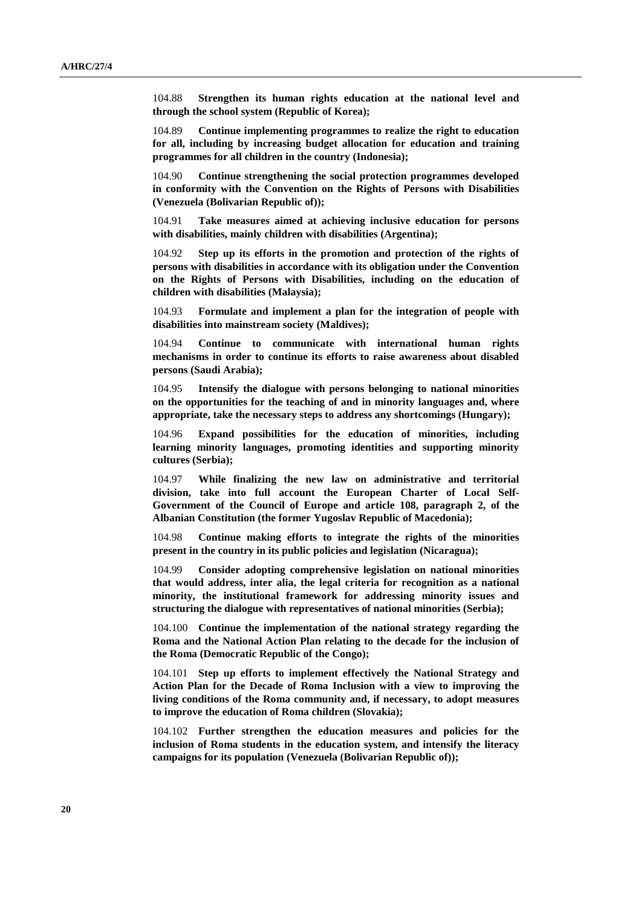104.88 **Strengthen its human rights education at the national level and through the school system (Republic of Korea);**

104.89 **Continue implementing programmes to realize the right to education for all, including by increasing budget allocation for education and training programmes for all children in the country (Indonesia);**

104.90 **Continue strengthening the social protection programmes developed in conformity with the Convention on the Rights of Persons with Disabilities (Venezuela (Bolivarian Republic of));**

104.91 **Take measures aimed at achieving inclusive education for persons with disabilities, mainly children with disabilities (Argentina);**

104.92 **Step up its efforts in the promotion and protection of the rights of persons with disabilities in accordance with its obligation under the Convention on the Rights of Persons with Disabilities, including on the education of children with disabilities (Malaysia);**

104.93 **Formulate and implement a plan for the integration of people with disabilities into mainstream society (Maldives);**

104.94 **Continue to communicate with international human rights mechanisms in order to continue its efforts to raise awareness about disabled persons (Saudi Arabia);**

104.95 **Intensify the dialogue with persons belonging to national minorities on the opportunities for the teaching of and in minority languages and, where appropriate, take the necessary steps to address any shortcomings (Hungary);**

104.96 **Expand possibilities for the education of minorities, including learning minority languages, promoting identities and supporting minority cultures (Serbia);**

104.97 **While finalizing the new law on administrative and territorial division, take into full account the European Charter of Local Self-Government of the Council of Europe and article 108, paragraph 2, of the Albanian Constitution (the former Yugoslav Republic of Macedonia);**

104.98 **Continue making efforts to integrate the rights of the minorities present in the country in its public policies and legislation (Nicaragua);**

104.99 **Consider adopting comprehensive legislation on national minorities that would address, inter alia, the legal criteria for recognition as a national minority, the institutional framework for addressing minority issues and structuring the dialogue with representatives of national minorities (Serbia);**

104.100 **Continue the implementation of the national strategy regarding the Roma and the National Action Plan relating to the decade for the inclusion of the Roma (Democratic Republic of the Congo);**

104.101 **Step up efforts to implement effectively the National Strategy and Action Plan for the Decade of Roma Inclusion with a view to improving the living conditions of the Roma community and, if necessary, to adopt measures to improve the education of Roma children (Slovakia);**

104.102 **Further strengthen the education measures and policies for the inclusion of Roma students in the education system, and intensify the literacy campaigns for its population (Venezuela (Bolivarian Republic of));**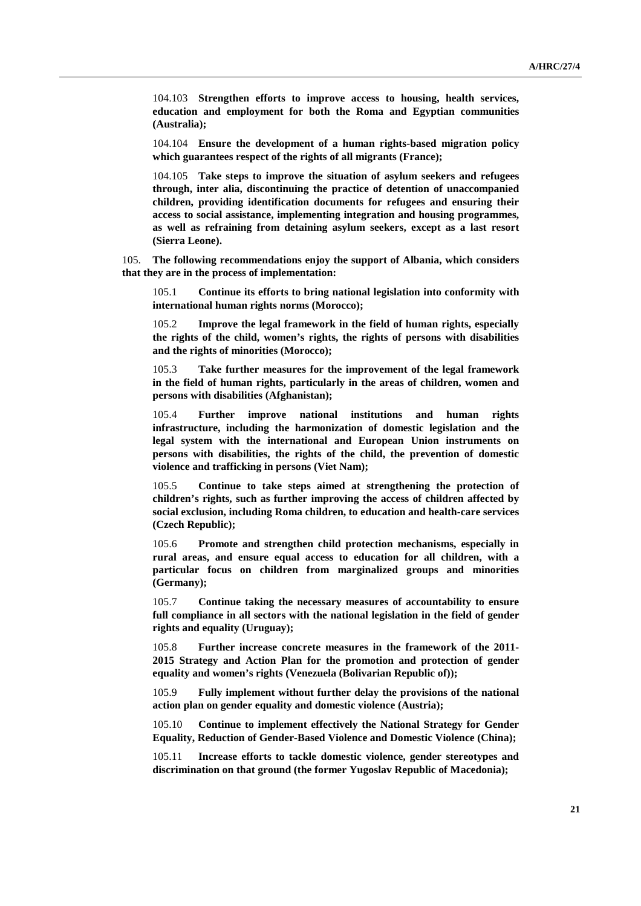104.103 **Strengthen efforts to improve access to housing, health services, education and employment for both the Roma and Egyptian communities (Australia);**

104.104 **Ensure the development of a human rights-based migration policy which guarantees respect of the rights of all migrants (France);**

104.105 **Take steps to improve the situation of asylum seekers and refugees through, inter alia, discontinuing the practice of detention of unaccompanied children, providing identification documents for refugees and ensuring their access to social assistance, implementing integration and housing programmes, as well as refraining from detaining asylum seekers, except as a last resort (Sierra Leone).** 

105. **The following recommendations enjoy the support of Albania, which considers that they are in the process of implementation:**

105.1 **Continue its efforts to bring national legislation into conformity with international human rights norms (Morocco);**

105.2 **Improve the legal framework in the field of human rights, especially the rights of the child, women's rights, the rights of persons with disabilities and the rights of minorities (Morocco);**

105.3 **Take further measures for the improvement of the legal framework in the field of human rights, particularly in the areas of children, women and persons with disabilities (Afghanistan);**

105.4 **Further improve national institutions and human rights infrastructure, including the harmonization of domestic legislation and the legal system with the international and European Union instruments on persons with disabilities, the rights of the child, the prevention of domestic violence and trafficking in persons (Viet Nam);**

105.5 **Continue to take steps aimed at strengthening the protection of children's rights, such as further improving the access of children affected by social exclusion, including Roma children, to education and health-care services (Czech Republic);**

105.6 **Promote and strengthen child protection mechanisms, especially in rural areas, and ensure equal access to education for all children, with a particular focus on children from marginalized groups and minorities (Germany);**

105.7 **Continue taking the necessary measures of accountability to ensure full compliance in all sectors with the national legislation in the field of gender rights and equality (Uruguay);**

105.8 **Further increase concrete measures in the framework of the 2011- 2015 Strategy and Action Plan for the promotion and protection of gender equality and women's rights (Venezuela (Bolivarian Republic of));**

105.9 **Fully implement without further delay the provisions of the national action plan on gender equality and domestic violence (Austria);**

105.10 **Continue to implement effectively the National Strategy for Gender Equality, Reduction of Gender-Based Violence and Domestic Violence (China);**

105.11 **Increase efforts to tackle domestic violence, gender stereotypes and discrimination on that ground (the former Yugoslav Republic of Macedonia);**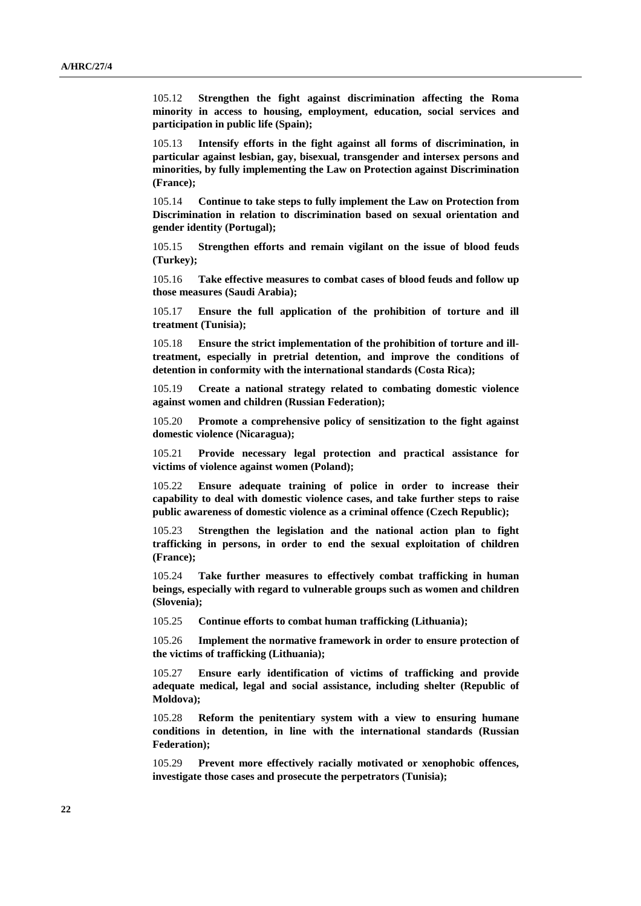105.12 **Strengthen the fight against discrimination affecting the Roma minority in access to housing, employment, education, social services and participation in public life (Spain);**

105.13 **Intensify efforts in the fight against all forms of discrimination, in particular against lesbian, gay, bisexual, transgender and intersex persons and minorities, by fully implementing the Law on Protection against Discrimination (France);**

105.14 **Continue to take steps to fully implement the Law on Protection from Discrimination in relation to discrimination based on sexual orientation and gender identity (Portugal);**

105.15 **Strengthen efforts and remain vigilant on the issue of blood feuds (Turkey);**

105.16 **Take effective measures to combat cases of blood feuds and follow up those measures (Saudi Arabia);**

105.17 **Ensure the full application of the prohibition of torture and ill treatment (Tunisia);**

105.18 **Ensure the strict implementation of the prohibition of torture and illtreatment, especially in pretrial detention, and improve the conditions of detention in conformity with the international standards (Costa Rica);**

105.19 **Create a national strategy related to combating domestic violence against women and children (Russian Federation);**

105.20 **Promote a comprehensive policy of sensitization to the fight against domestic violence (Nicaragua);**

105.21 **Provide necessary legal protection and practical assistance for victims of violence against women (Poland);**

105.22 **Ensure adequate training of police in order to increase their capability to deal with domestic violence cases, and take further steps to raise public awareness of domestic violence as a criminal offence (Czech Republic);**

105.23 **Strengthen the legislation and the national action plan to fight trafficking in persons, in order to end the sexual exploitation of children (France);**

105.24 **Take further measures to effectively combat trafficking in human beings, especially with regard to vulnerable groups such as women and children (Slovenia);**

105.25 **Continue efforts to combat human trafficking (Lithuania);**

105.26 **Implement the normative framework in order to ensure protection of the victims of trafficking (Lithuania);**

105.27 **Ensure early identification of victims of trafficking and provide adequate medical, legal and social assistance, including shelter (Republic of Moldova);**

105.28 **Reform the penitentiary system with a view to ensuring humane conditions in detention, in line with the international standards (Russian Federation);**

105.29 **Prevent more effectively racially motivated or xenophobic offences, investigate those cases and prosecute the perpetrators (Tunisia);**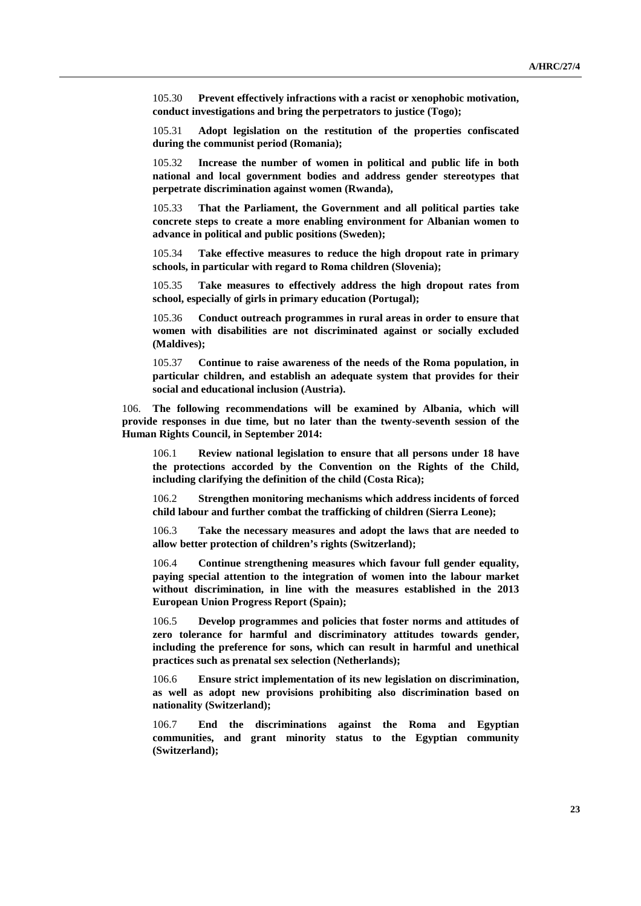105.30 **Prevent effectively infractions with a racist or xenophobic motivation, conduct investigations and bring the perpetrators to justice (Togo);**

105.31 **Adopt legislation on the restitution of the properties confiscated during the communist period (Romania);**

105.32 **Increase the number of women in political and public life in both national and local government bodies and address gender stereotypes that perpetrate discrimination against women (Rwanda),**

105.33 **That the Parliament, the Government and all political parties take concrete steps to create a more enabling environment for Albanian women to advance in political and public positions (Sweden);**

105.34 **Take effective measures to reduce the high dropout rate in primary schools, in particular with regard to Roma children (Slovenia);**

105.35 **Take measures to effectively address the high dropout rates from school, especially of girls in primary education (Portugal);**

105.36 **Conduct outreach programmes in rural areas in order to ensure that women with disabilities are not discriminated against or socially excluded (Maldives);**

105.37 **Continue to raise awareness of the needs of the Roma population, in particular children, and establish an adequate system that provides for their social and educational inclusion (Austria).**

106. **The following recommendations will be examined by Albania, which will provide responses in due time, but no later than the twenty-seventh session of the Human Rights Council, in September 2014:**

106.1 **Review national legislation to ensure that all persons under 18 have the protections accorded by the Convention on the Rights of the Child, including clarifying the definition of the child (Costa Rica);**

106.2 **Strengthen monitoring mechanisms which address incidents of forced child labour and further combat the trafficking of children (Sierra Leone);**

106.3 **Take the necessary measures and adopt the laws that are needed to allow better protection of children's rights (Switzerland);**

106.4 **Continue strengthening measures which favour full gender equality, paying special attention to the integration of women into the labour market without discrimination, in line with the measures established in the 2013 European Union Progress Report (Spain);**

106.5 **Develop programmes and policies that foster norms and attitudes of zero tolerance for harmful and discriminatory attitudes towards gender, including the preference for sons, which can result in harmful and unethical practices such as prenatal sex selection (Netherlands);**

106.6 **Ensure strict implementation of its new legislation on discrimination, as well as adopt new provisions prohibiting also discrimination based on nationality (Switzerland);**

106.7 **End the discriminations against the Roma and Egyptian communities, and grant minority status to the Egyptian community (Switzerland);**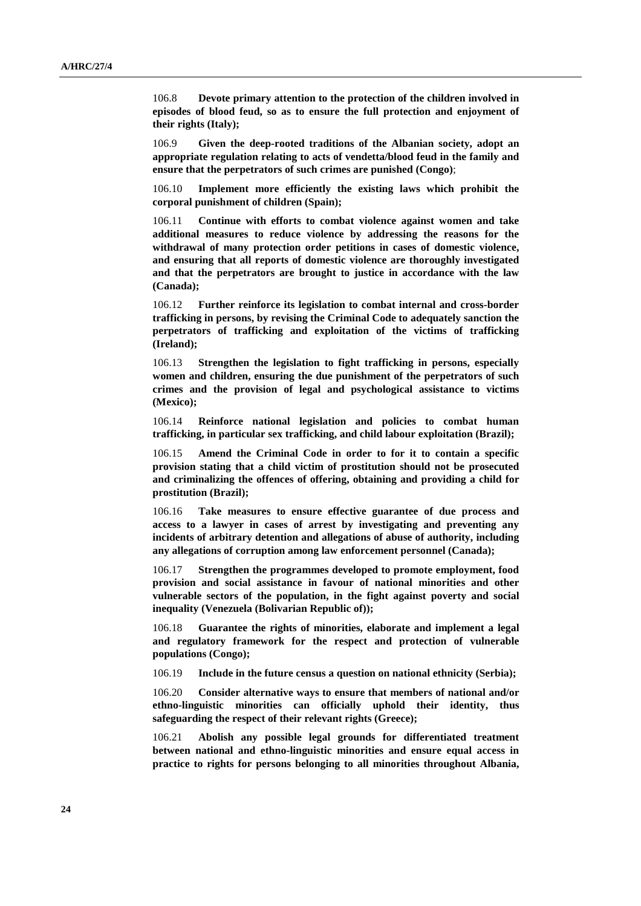106.8 **Devote primary attention to the protection of the children involved in episodes of blood feud, so as to ensure the full protection and enjoyment of their rights (Italy);**

106.9 **Given the deep-rooted traditions of the Albanian society, adopt an appropriate regulation relating to acts of vendetta/blood feud in the family and ensure that the perpetrators of such crimes are punished (Congo)**;

106.10 **Implement more efficiently the existing laws which prohibit the corporal punishment of children (Spain);**

106.11 **Continue with efforts to combat violence against women and take additional measures to reduce violence by addressing the reasons for the withdrawal of many protection order petitions in cases of domestic violence, and ensuring that all reports of domestic violence are thoroughly investigated and that the perpetrators are brought to justice in accordance with the law (Canada);**

106.12 **Further reinforce its legislation to combat internal and cross-border trafficking in persons, by revising the Criminal Code to adequately sanction the perpetrators of trafficking and exploitation of the victims of trafficking (Ireland);**

106.13 **Strengthen the legislation to fight trafficking in persons, especially women and children, ensuring the due punishment of the perpetrators of such crimes and the provision of legal and psychological assistance to victims (Mexico);**

106.14 **Reinforce national legislation and policies to combat human trafficking, in particular sex trafficking, and child labour exploitation (Brazil);**

106.15 **Amend the Criminal Code in order to for it to contain a specific provision stating that a child victim of prostitution should not be prosecuted and criminalizing the offences of offering, obtaining and providing a child for prostitution (Brazil);**

106.16 **Take measures to ensure effective guarantee of due process and access to a lawyer in cases of arrest by investigating and preventing any incidents of arbitrary detention and allegations of abuse of authority, including any allegations of corruption among law enforcement personnel (Canada);**

106.17 **Strengthen the programmes developed to promote employment, food provision and social assistance in favour of national minorities and other vulnerable sectors of the population, in the fight against poverty and social inequality (Venezuela (Bolivarian Republic of));**

106.18 **Guarantee the rights of minorities, elaborate and implement a legal and regulatory framework for the respect and protection of vulnerable populations (Congo);**

106.19 **Include in the future census a question on national ethnicity (Serbia);**

106.20 **Consider alternative ways to ensure that members of national and/or ethno-linguistic minorities can officially uphold their identity, thus safeguarding the respect of their relevant rights (Greece);**

106.21 **Abolish any possible legal grounds for differentiated treatment between national and ethno-linguistic minorities and ensure equal access in practice to rights for persons belonging to all minorities throughout Albania,**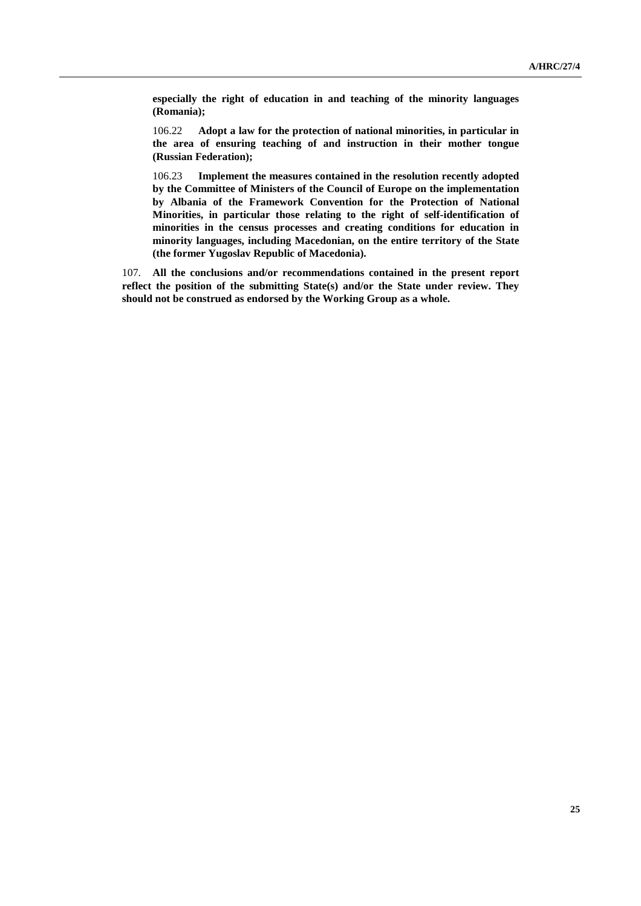**especially the right of education in and teaching of the minority languages (Romania);**

106.22 **Adopt a law for the protection of national minorities, in particular in the area of ensuring teaching of and instruction in their mother tongue (Russian Federation);**

106.23 **Implement the measures contained in the resolution recently adopted by the Committee of Ministers of the Council of Europe on the implementation by Albania of the Framework Convention for the Protection of National Minorities, in particular those relating to the right of self-identification of minorities in the census processes and creating conditions for education in minority languages, including Macedonian, on the entire territory of the State (the former Yugoslav Republic of Macedonia).**

107. **All the conclusions and/or recommendations contained in the present report reflect the position of the submitting State(s) and/or the State under review. They should not be construed as endorsed by the Working Group as a whole.**